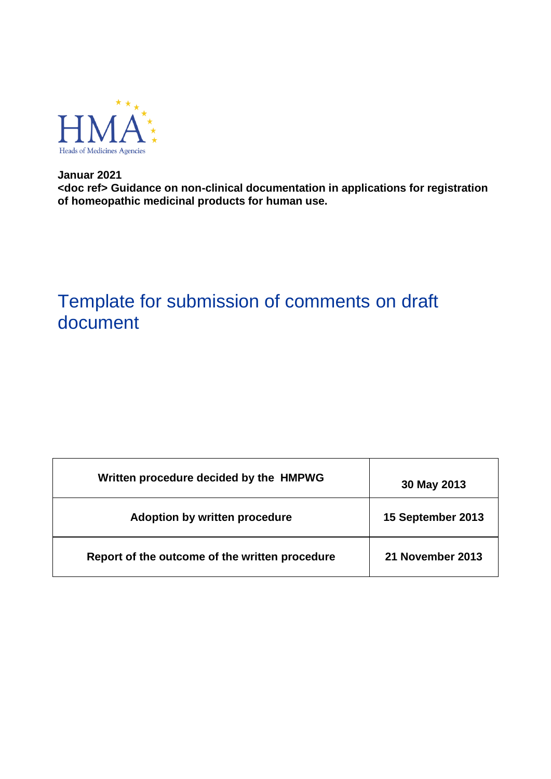

**Januar 2021 <doc ref> Guidance on non-clinical documentation in applications for registration of homeopathic medicinal products for human use.**

# Template for submission of comments on draft document

| Written procedure decided by the HMPWG         | 30 May 2013       |
|------------------------------------------------|-------------------|
| Adoption by written procedure                  | 15 September 2013 |
| Report of the outcome of the written procedure | 21 November 2013  |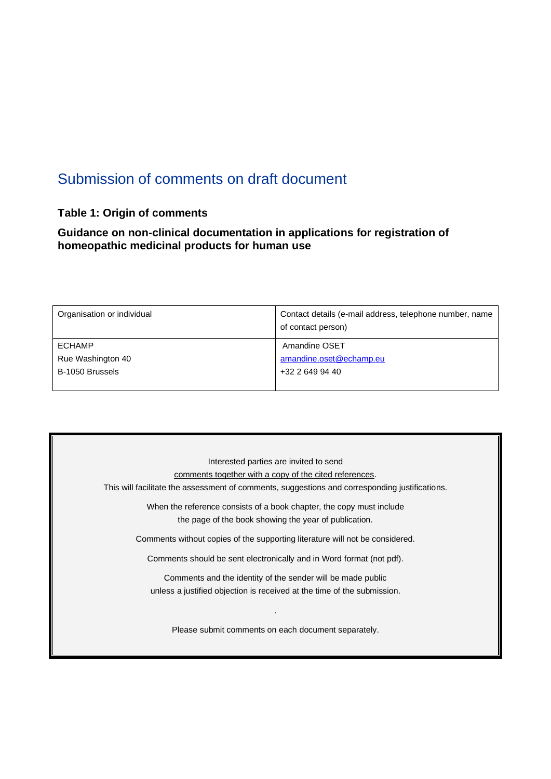# Submission of comments on draft document

## **Table 1: Origin of comments**

#### **Guidance on non-clinical documentation in applications for registration of homeopathic medicinal products for human use**

| Organisation or individual | Contact details (e-mail address, telephone number, name<br>of contact person) |
|----------------------------|-------------------------------------------------------------------------------|
| <b>ECHAMP</b>              | Amandine OSET                                                                 |
| Rue Washington 40          | amandine.oset@echamp.eu                                                       |
| B-1050 Brussels            | +32 2 649 94 40                                                               |
|                            |                                                                               |

| Interested parties are invited to send                                                         |
|------------------------------------------------------------------------------------------------|
| comments together with a copy of the cited references.                                         |
| This will facilitate the assessment of comments, suggestions and corresponding justifications. |
|                                                                                                |
| When the reference consists of a book chapter, the copy must include                           |
| the page of the book showing the year of publication.                                          |
|                                                                                                |
| Comments without copies of the supporting literature will not be considered.                   |
|                                                                                                |
| Comments should be sent electronically and in Word format (not pdf).                           |
|                                                                                                |
| Comments and the identity of the sender will be made public                                    |
| unless a justified objection is received at the time of the submission.                        |
|                                                                                                |
|                                                                                                |
|                                                                                                |
| Please submit comments on each document separately.                                            |
|                                                                                                |
|                                                                                                |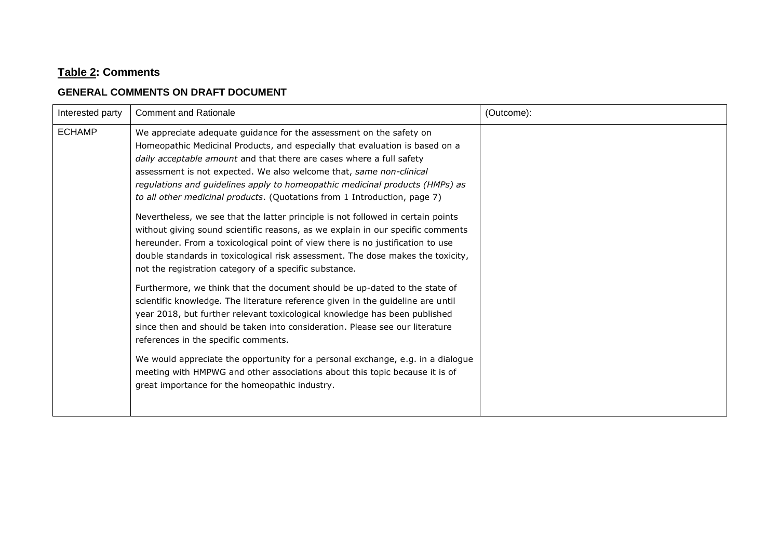## **Table 2: Comments**

#### **GENERAL COMMENTS ON DRAFT DOCUMENT**

| Interested party | <b>Comment and Rationale</b>                                                                                                                                                                                                                                                                                                                                                                                                                                    | (Outcome): |
|------------------|-----------------------------------------------------------------------------------------------------------------------------------------------------------------------------------------------------------------------------------------------------------------------------------------------------------------------------------------------------------------------------------------------------------------------------------------------------------------|------------|
| <b>ECHAMP</b>    | We appreciate adequate guidance for the assessment on the safety on<br>Homeopathic Medicinal Products, and especially that evaluation is based on a<br>daily acceptable amount and that there are cases where a full safety<br>assessment is not expected. We also welcome that, same non-clinical<br>regulations and guidelines apply to homeopathic medicinal products (HMPs) as<br>to all other medicinal products. (Quotations from 1 Introduction, page 7) |            |
|                  | Nevertheless, we see that the latter principle is not followed in certain points<br>without giving sound scientific reasons, as we explain in our specific comments<br>hereunder. From a toxicological point of view there is no justification to use<br>double standards in toxicological risk assessment. The dose makes the toxicity,<br>not the registration category of a specific substance.                                                              |            |
|                  | Furthermore, we think that the document should be up-dated to the state of<br>scientific knowledge. The literature reference given in the guideline are until<br>year 2018, but further relevant toxicological knowledge has been published<br>since then and should be taken into consideration. Please see our literature<br>references in the specific comments.                                                                                             |            |
|                  | We would appreciate the opportunity for a personal exchange, e.g. in a dialogue<br>meeting with HMPWG and other associations about this topic because it is of<br>great importance for the homeopathic industry.                                                                                                                                                                                                                                                |            |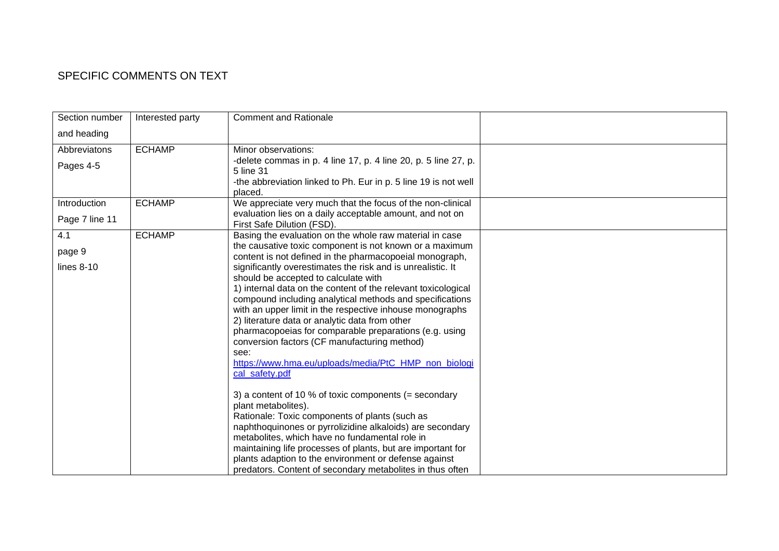### SPECIFIC COMMENTS ON TEXT

| Section number | Interested party | <b>Comment and Rationale</b>                                                                                                                   |  |
|----------------|------------------|------------------------------------------------------------------------------------------------------------------------------------------------|--|
| and heading    |                  |                                                                                                                                                |  |
| Abbreviatons   | <b>ECHAMP</b>    | Minor observations:                                                                                                                            |  |
| Pages 4-5      |                  | -delete commas in p. 4 line 17, p. 4 line 20, p. 5 line 27, p.<br>5 line 31<br>-the abbreviation linked to Ph. Eur in p. 5 line 19 is not well |  |
|                |                  | placed.                                                                                                                                        |  |
| Introduction   | <b>ECHAMP</b>    | We appreciate very much that the focus of the non-clinical                                                                                     |  |
| Page 7 line 11 |                  | evaluation lies on a daily acceptable amount, and not on<br>First Safe Dilution (FSD).                                                         |  |
| 4.1            | <b>ECHAMP</b>    | Basing the evaluation on the whole raw material in case                                                                                        |  |
| page 9         |                  | the causative toxic component is not known or a maximum<br>content is not defined in the pharmacopoeial monograph,                             |  |
| lines $8-10$   |                  | significantly overestimates the risk and is unrealistic. It                                                                                    |  |
|                |                  | should be accepted to calculate with                                                                                                           |  |
|                |                  | 1) internal data on the content of the relevant toxicological                                                                                  |  |
|                |                  | compound including analytical methods and specifications                                                                                       |  |
|                |                  | with an upper limit in the respective inhouse monographs                                                                                       |  |
|                |                  | 2) literature data or analytic data from other<br>pharmacopoeias for comparable preparations (e.g. using                                       |  |
|                |                  | conversion factors (CF manufacturing method)                                                                                                   |  |
|                |                  | see:                                                                                                                                           |  |
|                |                  | https://www.hma.eu/uploads/media/PtC HMP non biologi                                                                                           |  |
|                |                  | cal_safety.pdf                                                                                                                                 |  |
|                |                  | 3) a content of 10 % of toxic components (= secondary                                                                                          |  |
|                |                  | plant metabolites).                                                                                                                            |  |
|                |                  | Rationale: Toxic components of plants (such as<br>naphthoquinones or pyrrolizidine alkaloids) are secondary                                    |  |
|                |                  | metabolites, which have no fundamental role in                                                                                                 |  |
|                |                  | maintaining life processes of plants, but are important for                                                                                    |  |
|                |                  | plants adaption to the environment or defense against                                                                                          |  |
|                |                  | predators. Content of secondary metabolites in thus often                                                                                      |  |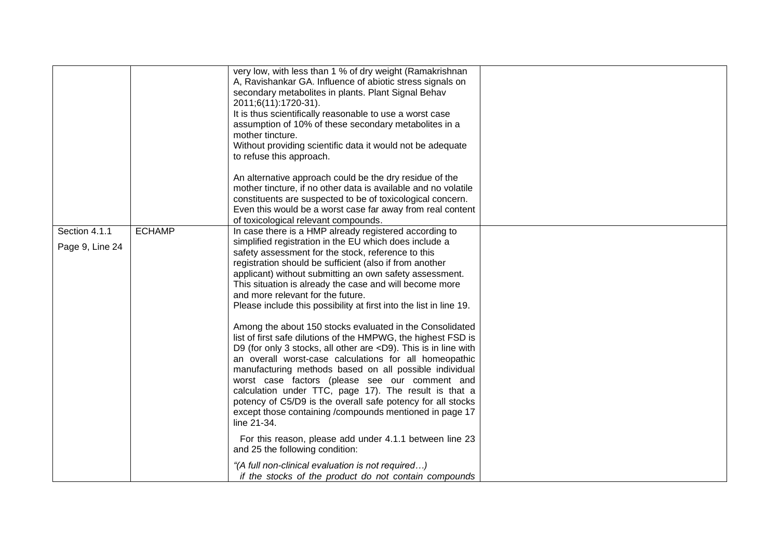|                                  |               | very low, with less than 1 % of dry weight (Ramakrishnan<br>A, Ravishankar GA. Influence of abiotic stress signals on<br>secondary metabolites in plants. Plant Signal Behav<br>2011;6(11):1720-31).<br>It is thus scientifically reasonable to use a worst case<br>assumption of 10% of these secondary metabolites in a<br>mother tincture.<br>Without providing scientific data it would not be adequate<br>to refuse this approach.<br>An alternative approach could be the dry residue of the<br>mother tincture, if no other data is available and no volatile                                                                                                                                                                                                                                                                                                                                                                                                                                                                                                   |  |
|----------------------------------|---------------|------------------------------------------------------------------------------------------------------------------------------------------------------------------------------------------------------------------------------------------------------------------------------------------------------------------------------------------------------------------------------------------------------------------------------------------------------------------------------------------------------------------------------------------------------------------------------------------------------------------------------------------------------------------------------------------------------------------------------------------------------------------------------------------------------------------------------------------------------------------------------------------------------------------------------------------------------------------------------------------------------------------------------------------------------------------------|--|
|                                  |               | constituents are suspected to be of toxicological concern.<br>Even this would be a worst case far away from real content<br>of toxicological relevant compounds.                                                                                                                                                                                                                                                                                                                                                                                                                                                                                                                                                                                                                                                                                                                                                                                                                                                                                                       |  |
| Section 4.1.1<br>Page 9, Line 24 | <b>ECHAMP</b> | In case there is a HMP already registered according to<br>simplified registration in the EU which does include a<br>safety assessment for the stock, reference to this<br>registration should be sufficient (also if from another<br>applicant) without submitting an own safety assessment.<br>This situation is already the case and will become more<br>and more relevant for the future.<br>Please include this possibility at first into the list in line 19.<br>Among the about 150 stocks evaluated in the Consolidated<br>list of first safe dilutions of the HMPWG, the highest FSD is<br>D9 (for only 3 stocks, all other are <d9). in="" is="" line="" this="" with<br="">an overall worst-case calculations for all homeopathic<br/>manufacturing methods based on all possible individual<br/>worst case factors (please see our comment and<br/>calculation under TTC, page 17). The result is that a<br/>potency of C5/D9 is the overall safe potency for all stocks<br/>except those containing /compounds mentioned in page 17<br/>line 21-34.</d9).> |  |
|                                  |               | For this reason, please add under 4.1.1 between line 23<br>and 25 the following condition:<br>"(A full non-clinical evaluation is not required)                                                                                                                                                                                                                                                                                                                                                                                                                                                                                                                                                                                                                                                                                                                                                                                                                                                                                                                        |  |
|                                  |               | if the stocks of the product do not contain compounds                                                                                                                                                                                                                                                                                                                                                                                                                                                                                                                                                                                                                                                                                                                                                                                                                                                                                                                                                                                                                  |  |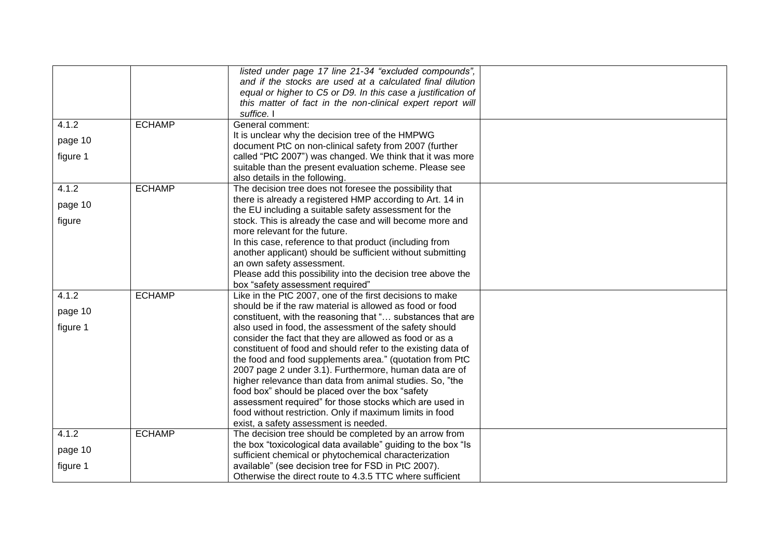|          |               | listed under page 17 line 21-34 "excluded compounds",                                                      |  |
|----------|---------------|------------------------------------------------------------------------------------------------------------|--|
|          |               | and if the stocks are used at a calculated final dilution                                                  |  |
|          |               | equal or higher to C5 or D9. In this case a justification of                                               |  |
|          |               | this matter of fact in the non-clinical expert report will                                                 |  |
|          |               | suffice. I                                                                                                 |  |
| 4.1.2    | <b>ECHAMP</b> | General comment:                                                                                           |  |
| page 10  |               | It is unclear why the decision tree of the HMPWG                                                           |  |
|          |               | document PtC on non-clinical safety from 2007 (further                                                     |  |
| figure 1 |               | called "PtC 2007") was changed. We think that it was more                                                  |  |
|          |               | suitable than the present evaluation scheme. Please see                                                    |  |
|          |               | also details in the following.                                                                             |  |
| 4.1.2    | <b>ECHAMP</b> | The decision tree does not foresee the possibility that                                                    |  |
| page 10  |               | there is already a registered HMP according to Art. 14 in                                                  |  |
|          |               | the EU including a suitable safety assessment for the                                                      |  |
| figure   |               | stock. This is already the case and will become more and                                                   |  |
|          |               | more relevant for the future.                                                                              |  |
|          |               | In this case, reference to that product (including from                                                    |  |
|          |               | another applicant) should be sufficient without submitting                                                 |  |
|          |               | an own safety assessment.                                                                                  |  |
|          |               | Please add this possibility into the decision tree above the                                               |  |
|          |               | box "safety assessment required"                                                                           |  |
| 4.1.2    | <b>ECHAMP</b> | Like in the PtC 2007, one of the first decisions to make                                                   |  |
| page 10  |               | should be if the raw material is allowed as food or food                                                   |  |
|          |               | constituent, with the reasoning that " substances that are                                                 |  |
| figure 1 |               | also used in food, the assessment of the safety should                                                     |  |
|          |               | consider the fact that they are allowed as food or as a                                                    |  |
|          |               | constituent of food and should refer to the existing data of                                               |  |
|          |               | the food and food supplements area." (quotation from PtC                                                   |  |
|          |               | 2007 page 2 under 3.1). Furthermore, human data are of                                                     |  |
|          |               | higher relevance than data from animal studies. So, "the                                                   |  |
|          |               | food box" should be placed over the box "safety<br>assessment required" for those stocks which are used in |  |
|          |               | food without restriction. Only if maximum limits in food                                                   |  |
|          |               | exist, a safety assessment is needed.                                                                      |  |
| 4.1.2    | <b>ECHAMP</b> | The decision tree should be completed by an arrow from                                                     |  |
|          |               | the box "toxicological data available" guiding to the box "Is                                              |  |
| page 10  |               | sufficient chemical or phytochemical characterization                                                      |  |
| figure 1 |               | available" (see decision tree for FSD in PtC 2007).                                                        |  |
|          |               | Otherwise the direct route to 4.3.5 TTC where sufficient                                                   |  |
|          |               |                                                                                                            |  |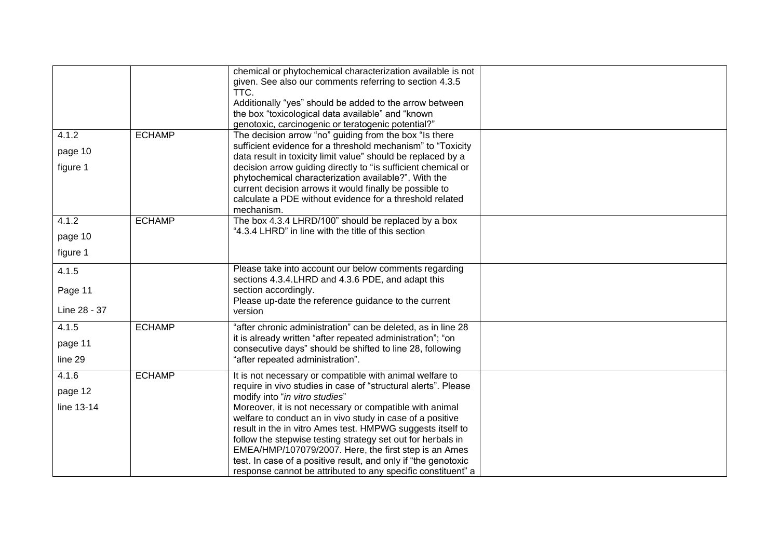|                                  |               | chemical or phytochemical characterization available is not<br>given. See also our comments referring to section 4.3.5<br>TTC.<br>Additionally "yes" should be added to the arrow between<br>the box "toxicological data available" and "known<br>genotoxic, carcinogenic or teratogenic potential?"                                                                                                                                                                                                                                                                                                         |  |
|----------------------------------|---------------|--------------------------------------------------------------------------------------------------------------------------------------------------------------------------------------------------------------------------------------------------------------------------------------------------------------------------------------------------------------------------------------------------------------------------------------------------------------------------------------------------------------------------------------------------------------------------------------------------------------|--|
| 4.1.2<br>page 10<br>figure 1     | <b>ECHAMP</b> | The decision arrow "no" guiding from the box "Is there<br>sufficient evidence for a threshold mechanism" to "Toxicity<br>data result in toxicity limit value" should be replaced by a<br>decision arrow guiding directly to "is sufficient chemical or<br>phytochemical characterization available?". With the<br>current decision arrows it would finally be possible to<br>calculate a PDE without evidence for a threshold related<br>mechanism.                                                                                                                                                          |  |
| 4.1.2<br>page 10<br>figure 1     | <b>ECHAMP</b> | The box 4.3.4 LHRD/100" should be replaced by a box<br>"4.3.4 LHRD" in line with the title of this section                                                                                                                                                                                                                                                                                                                                                                                                                                                                                                   |  |
| 4.1.5<br>Page 11<br>Line 28 - 37 |               | Please take into account our below comments regarding<br>sections 4.3.4. LHRD and 4.3.6 PDE, and adapt this<br>section accordingly.<br>Please up-date the reference guidance to the current<br>version                                                                                                                                                                                                                                                                                                                                                                                                       |  |
| 4.1.5<br>page 11<br>line 29      | <b>ECHAMP</b> | "after chronic administration" can be deleted, as in line 28<br>it is already written "after repeated administration"; "on<br>consecutive days" should be shifted to line 28, following<br>"after repeated administration".                                                                                                                                                                                                                                                                                                                                                                                  |  |
| 4.1.6<br>page 12<br>line 13-14   | <b>ECHAMP</b> | It is not necessary or compatible with animal welfare to<br>require in vivo studies in case of "structural alerts". Please<br>modify into "in vitro studies"<br>Moreover, it is not necessary or compatible with animal<br>welfare to conduct an in vivo study in case of a positive<br>result in the in vitro Ames test. HMPWG suggests itself to<br>follow the stepwise testing strategy set out for herbals in<br>EMEA/HMP/107079/2007. Here, the first step is an Ames<br>test. In case of a positive result, and only if "the genotoxic<br>response cannot be attributed to any specific constituent" a |  |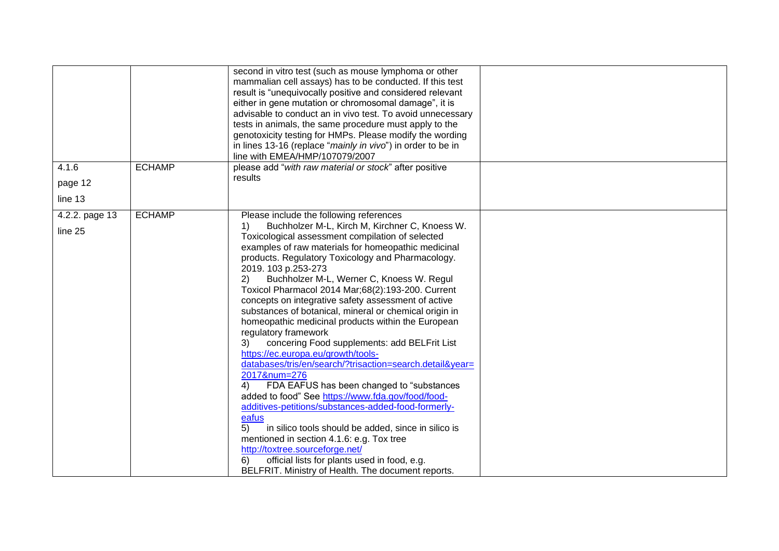| 4.1.6          | <b>ECHAMP</b> | second in vitro test (such as mouse lymphoma or other<br>mammalian cell assays) has to be conducted. If this test<br>result is "unequivocally positive and considered relevant<br>either in gene mutation or chromosomal damage", it is<br>advisable to conduct an in vivo test. To avoid unnecessary<br>tests in animals, the same procedure must apply to the<br>genotoxicity testing for HMPs. Please modify the wording<br>in lines 13-16 (replace "mainly in vivo") in order to be in<br>line with EMEA/HMP/107079/2007<br>please add "with raw material or stock" after positive                                                                                                                                                                                                                                                                                                                                                                                                                                                                                                                                                                   |  |
|----------------|---------------|----------------------------------------------------------------------------------------------------------------------------------------------------------------------------------------------------------------------------------------------------------------------------------------------------------------------------------------------------------------------------------------------------------------------------------------------------------------------------------------------------------------------------------------------------------------------------------------------------------------------------------------------------------------------------------------------------------------------------------------------------------------------------------------------------------------------------------------------------------------------------------------------------------------------------------------------------------------------------------------------------------------------------------------------------------------------------------------------------------------------------------------------------------|--|
| page 12        |               | results                                                                                                                                                                                                                                                                                                                                                                                                                                                                                                                                                                                                                                                                                                                                                                                                                                                                                                                                                                                                                                                                                                                                                  |  |
| line 13        |               |                                                                                                                                                                                                                                                                                                                                                                                                                                                                                                                                                                                                                                                                                                                                                                                                                                                                                                                                                                                                                                                                                                                                                          |  |
| 4.2.2. page 13 | <b>ECHAMP</b> | Please include the following references                                                                                                                                                                                                                                                                                                                                                                                                                                                                                                                                                                                                                                                                                                                                                                                                                                                                                                                                                                                                                                                                                                                  |  |
| line 25        |               | Buchholzer M-L, Kirch M, Kirchner C, Knoess W.<br>1)<br>Toxicological assessment compilation of selected<br>examples of raw materials for homeopathic medicinal<br>products. Regulatory Toxicology and Pharmacology.<br>2019. 103 p.253-273<br>2)<br>Buchholzer M-L, Werner C, Knoess W. Regul<br>Toxicol Pharmacol 2014 Mar;68(2):193-200. Current<br>concepts on integrative safety assessment of active<br>substances of botanical, mineral or chemical origin in<br>homeopathic medicinal products within the European<br>regulatory framework<br>concering Food supplements: add BELFrit List<br>3)<br>https://ec.europa.eu/growth/tools-<br>databases/tris/en/search/?trisaction=search.detail&year=<br>2017#=276<br>FDA EAFUS has been changed to "substances<br>4)<br>added to food" See https://www.fda.gov/food/food-<br>additives-petitions/substances-added-food-formerly-<br>eafus<br>5)<br>in silico tools should be added, since in silico is<br>mentioned in section 4.1.6: e.g. Tox tree<br>http://toxtree.sourceforge.net/<br>official lists for plants used in food, e.g.<br>6)<br>BELFRIT. Ministry of Health. The document reports. |  |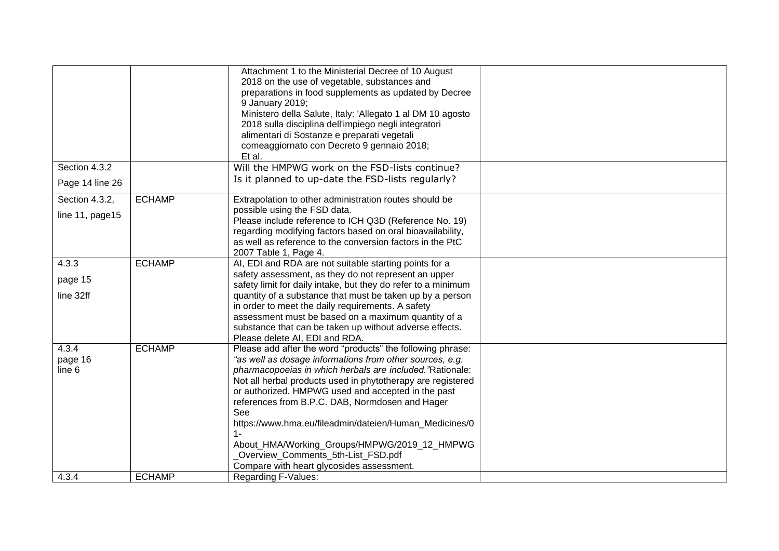|                  |               | Attachment 1 to the Ministerial Decree of 10 August                                                                     |  |
|------------------|---------------|-------------------------------------------------------------------------------------------------------------------------|--|
|                  |               | 2018 on the use of vegetable, substances and                                                                            |  |
|                  |               | preparations in food supplements as updated by Decree                                                                   |  |
|                  |               | 9 January 2019;                                                                                                         |  |
|                  |               | Ministero della Salute, Italy: 'Allegato 1 al DM 10 agosto                                                              |  |
|                  |               | 2018 sulla disciplina dell'impiego negli integratori                                                                    |  |
|                  |               | alimentari di Sostanze e preparati vegetali                                                                             |  |
|                  |               | comeaggiornato con Decreto 9 gennaio 2018;                                                                              |  |
|                  |               | Et al.                                                                                                                  |  |
| Section 4.3.2    |               | Will the HMPWG work on the FSD-lists continue?                                                                          |  |
| Page 14 line 26  |               | Is it planned to up-date the FSD-lists regularly?                                                                       |  |
| Section 4.3.2,   | <b>ECHAMP</b> | Extrapolation to other administration routes should be                                                                  |  |
| line 11, page 15 |               | possible using the FSD data.                                                                                            |  |
|                  |               | Please include reference to ICH Q3D (Reference No. 19)                                                                  |  |
|                  |               | regarding modifying factors based on oral bioavailability,<br>as well as reference to the conversion factors in the PtC |  |
|                  |               | 2007 Table 1, Page 4.                                                                                                   |  |
| 4.3.3            | <b>ECHAMP</b> | AI, EDI and RDA are not suitable starting points for a                                                                  |  |
|                  |               | safety assessment, as they do not represent an upper                                                                    |  |
| page 15          |               | safety limit for daily intake, but they do refer to a minimum                                                           |  |
| line 32ff        |               | quantity of a substance that must be taken up by a person                                                               |  |
|                  |               | in order to meet the daily requirements. A safety                                                                       |  |
|                  |               | assessment must be based on a maximum quantity of a                                                                     |  |
|                  |               | substance that can be taken up without adverse effects.                                                                 |  |
|                  |               | Please delete AI, EDI and RDA.                                                                                          |  |
| 4.3.4            | <b>ECHAMP</b> | Please add after the word "products" the following phrase:                                                              |  |
| page 16          |               | "as well as dosage informations from other sources, e.g.                                                                |  |
| line 6           |               | pharmacopoeias in which herbals are included."Rationale:                                                                |  |
|                  |               | Not all herbal products used in phytotherapy are registered                                                             |  |
|                  |               | or authorized. HMPWG used and accepted in the past                                                                      |  |
|                  |               | references from B.P.C. DAB, Normdosen and Hager                                                                         |  |
|                  |               | See                                                                                                                     |  |
|                  |               | https://www.hma.eu/fileadmin/dateien/Human_Medicines/0                                                                  |  |
|                  |               | $1 -$                                                                                                                   |  |
|                  |               | About_HMA/Working_Groups/HMPWG/2019_12_HMPWG                                                                            |  |
|                  |               | Overview_Comments_5th-List_FSD.pdf                                                                                      |  |
|                  |               | Compare with heart glycosides assessment.                                                                               |  |
| 4.3.4            | <b>ECHAMP</b> | <b>Regarding F-Values:</b>                                                                                              |  |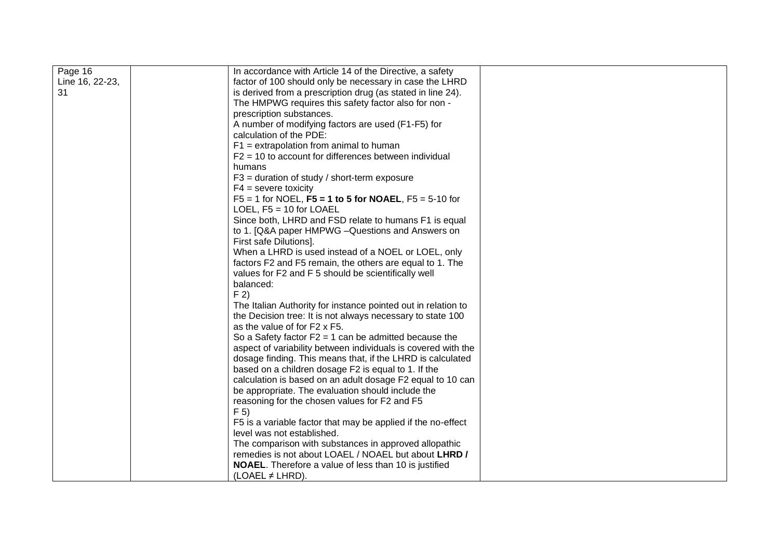| Page 16         | In accordance with Article 14 of the Directive, a safety      |  |
|-----------------|---------------------------------------------------------------|--|
| Line 16, 22-23, | factor of 100 should only be necessary in case the LHRD       |  |
| 31              | is derived from a prescription drug (as stated in line 24).   |  |
|                 | The HMPWG requires this safety factor also for non -          |  |
|                 | prescription substances.                                      |  |
|                 | A number of modifying factors are used (F1-F5) for            |  |
|                 | calculation of the PDE:                                       |  |
|                 | $F1$ = extrapolation from animal to human                     |  |
|                 | $F2 = 10$ to account for differences between individual       |  |
|                 | humans                                                        |  |
|                 | $F3$ = duration of study / short-term exposure                |  |
|                 | $F4 =$ severe toxicity                                        |  |
|                 | $F5 = 1$ for NOEL, $F5 = 1$ to 5 for NOAEL, $F5 = 5-10$ for   |  |
|                 | LOEL, $F5 = 10$ for LOAEL                                     |  |
|                 | Since both, LHRD and FSD relate to humans F1 is equal         |  |
|                 | to 1. [Q&A paper HMPWG - Questions and Answers on             |  |
|                 | First safe Dilutions].                                        |  |
|                 | When a LHRD is used instead of a NOEL or LOEL, only           |  |
|                 | factors F2 and F5 remain, the others are equal to 1. The      |  |
|                 | values for F2 and F 5 should be scientifically well           |  |
|                 | balanced:                                                     |  |
|                 | F <sub>2</sub>                                                |  |
|                 | The Italian Authority for instance pointed out in relation to |  |
|                 | the Decision tree: It is not always necessary to state 100    |  |
|                 | as the value of for F2 x F5.                                  |  |
|                 | So a Safety factor $F2 = 1$ can be admitted because the       |  |
|                 | aspect of variability between individuals is covered with the |  |
|                 | dosage finding. This means that, if the LHRD is calculated    |  |
|                 | based on a children dosage F2 is equal to 1. If the           |  |
|                 | calculation is based on an adult dosage F2 equal to 10 can    |  |
|                 | be appropriate. The evaluation should include the             |  |
|                 | reasoning for the chosen values for F2 and F5                 |  |
|                 | F <sub>5</sub>                                                |  |
|                 | F5 is a variable factor that may be applied if the no-effect  |  |
|                 | level was not established.                                    |  |
|                 | The comparison with substances in approved allopathic         |  |
|                 | remedies is not about LOAEL / NOAEL but about LHRD /          |  |
|                 | <b>NOAEL</b> . Therefore a value of less than 10 is justified |  |
|                 | (LOAEL $\neq$ LHRD).                                          |  |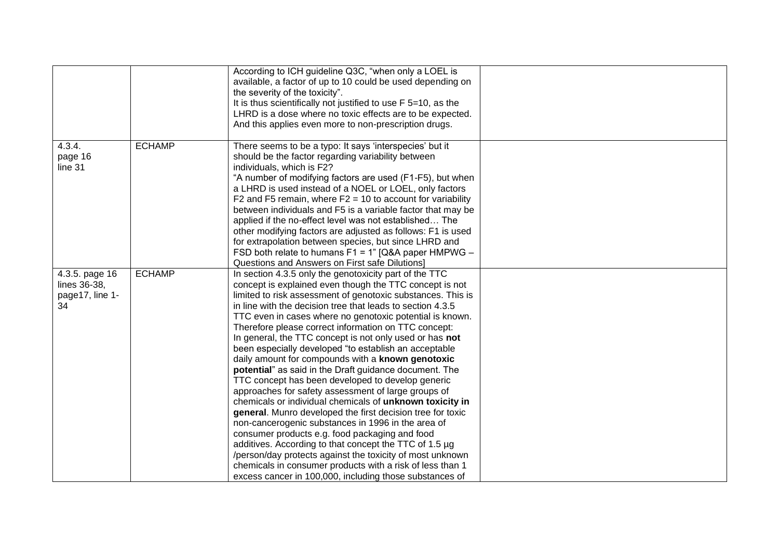|                                                                          | According to ICH guideline Q3C, "when only a LOEL is<br>available, a factor of up to 10 could be used depending on<br>the severity of the toxicity".<br>It is thus scientifically not justified to use F 5=10, as the<br>LHRD is a dose where no toxic effects are to be expected.<br>And this applies even more to non-prescription drugs.                                                                                                                                                                                                                                                                                                                                                                                                                                                                                                                                                                                                                                                                                                                                                                                                                                                        |  |
|--------------------------------------------------------------------------|----------------------------------------------------------------------------------------------------------------------------------------------------------------------------------------------------------------------------------------------------------------------------------------------------------------------------------------------------------------------------------------------------------------------------------------------------------------------------------------------------------------------------------------------------------------------------------------------------------------------------------------------------------------------------------------------------------------------------------------------------------------------------------------------------------------------------------------------------------------------------------------------------------------------------------------------------------------------------------------------------------------------------------------------------------------------------------------------------------------------------------------------------------------------------------------------------|--|
| <b>ECHAMP</b><br>4.3.4.<br>page 16<br>line 31                            | There seems to be a typo: It says 'interspecies' but it<br>should be the factor regarding variability between<br>individuals, which is F2?<br>"A number of modifying factors are used (F1-F5), but when<br>a LHRD is used instead of a NOEL or LOEL, only factors<br>F2 and F5 remain, where $F2 = 10$ to account for variability<br>between individuals and F5 is a variable factor that may be<br>applied if the no-effect level was not established The<br>other modifying factors are adjusted as follows: F1 is used<br>for extrapolation between species, but since LHRD and<br>FSD both relate to humans F1 = 1" [Q&A paper HMPWG -<br>Questions and Answers on First safe Dilutions]                                                                                                                                                                                                                                                                                                                                                                                                                                                                                                       |  |
| <b>ECHAMP</b><br>4.3.5. page 16<br>lines 36-38,<br>page17, line 1-<br>34 | In section 4.3.5 only the genotoxicity part of the TTC<br>concept is explained even though the TTC concept is not<br>limited to risk assessment of genotoxic substances. This is<br>in line with the decision tree that leads to section 4.3.5<br>TTC even in cases where no genotoxic potential is known.<br>Therefore please correct information on TTC concept:<br>In general, the TTC concept is not only used or has not<br>been especially developed "to establish an acceptable<br>daily amount for compounds with a known genotoxic<br>potential" as said in the Draft guidance document. The<br>TTC concept has been developed to develop generic<br>approaches for safety assessment of large groups of<br>chemicals or individual chemicals of unknown toxicity in<br>general. Munro developed the first decision tree for toxic<br>non-cancerogenic substances in 1996 in the area of<br>consumer products e.g. food packaging and food<br>additives. According to that concept the TTC of 1.5 µg<br>/person/day protects against the toxicity of most unknown<br>chemicals in consumer products with a risk of less than 1<br>excess cancer in 100,000, including those substances of |  |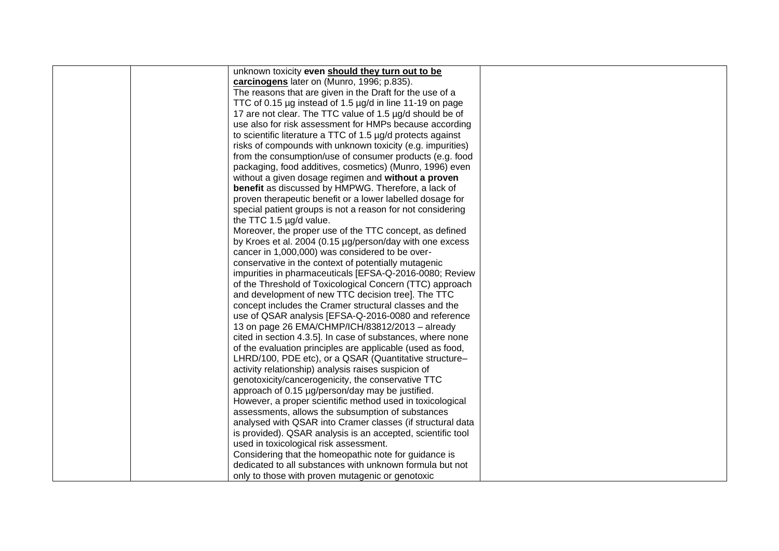| unknown toxicity even should they turn out to be            |  |
|-------------------------------------------------------------|--|
| carcinogens later on (Munro, 1996; p.835).                  |  |
| The reasons that are given in the Draft for the use of a    |  |
| TTC of 0.15 µg instead of 1.5 µg/d in line 11-19 on page    |  |
| 17 are not clear. The TTC value of 1.5 µg/d should be of    |  |
| use also for risk assessment for HMPs because according     |  |
| to scientific literature a TTC of 1.5 µg/d protects against |  |
| risks of compounds with unknown toxicity (e.g. impurities)  |  |
| from the consumption/use of consumer products (e.g. food    |  |
| packaging, food additives, cosmetics) (Munro, 1996) even    |  |
| without a given dosage regimen and without a proven         |  |
| <b>benefit</b> as discussed by HMPWG. Therefore, a lack of  |  |
| proven therapeutic benefit or a lower labelled dosage for   |  |
| special patient groups is not a reason for not considering  |  |
| the TTC 1.5 µg/d value.                                     |  |
| Moreover, the proper use of the TTC concept, as defined     |  |
| by Kroes et al. 2004 (0.15 µg/person/day with one excess    |  |
| cancer in 1,000,000) was considered to be over-             |  |
| conservative in the context of potentially mutagenic        |  |
| impurities in pharmaceuticals [EFSA-Q-2016-0080; Review     |  |
| of the Threshold of Toxicological Concern (TTC) approach    |  |
| and development of new TTC decision tree]. The TTC          |  |
| concept includes the Cramer structural classes and the      |  |
| use of QSAR analysis [EFSA-Q-2016-0080 and reference        |  |
| 13 on page 26 EMA/CHMP/ICH/83812/2013 - already             |  |
| cited in section 4.3.5]. In case of substances, where none  |  |
| of the evaluation principles are applicable (used as food,  |  |
| LHRD/100, PDE etc), or a QSAR (Quantitative structure-      |  |
| activity relationship) analysis raises suspicion of         |  |
| genotoxicity/cancerogenicity, the conservative TTC          |  |
| approach of 0.15 µg/person/day may be justified.            |  |
| However, a proper scientific method used in toxicological   |  |
| assessments, allows the subsumption of substances           |  |
| analysed with QSAR into Cramer classes (if structural data  |  |
| is provided). QSAR analysis is an accepted, scientific tool |  |
| used in toxicological risk assessment.                      |  |
| Considering that the homeopathic note for guidance is       |  |
| dedicated to all substances with unknown formula but not    |  |
| only to those with proven mutagenic or genotoxic            |  |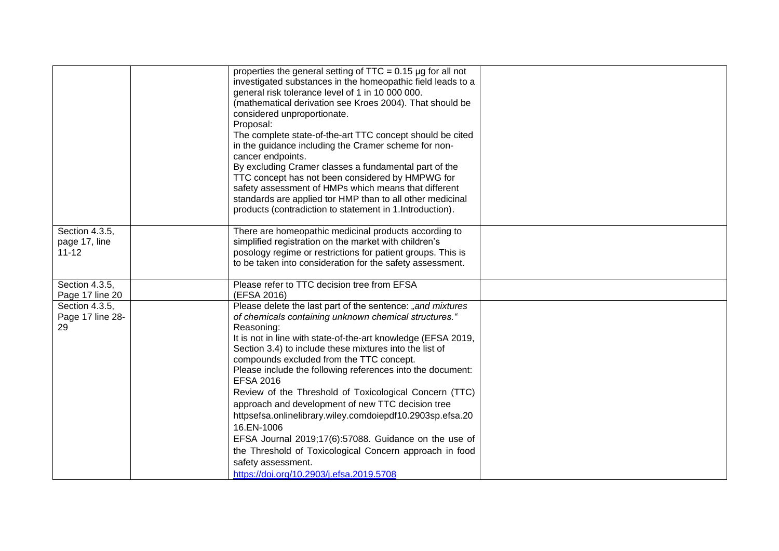|                                              | properties the general setting of $TTC = 0.15 \mu g$ for all not<br>investigated substances in the homeopathic field leads to a<br>general risk tolerance level of 1 in 10 000 000.<br>(mathematical derivation see Kroes 2004). That should be<br>considered unproportionate.<br>Proposal:<br>The complete state-of-the-art TTC concept should be cited<br>in the guidance including the Cramer scheme for non-<br>cancer endpoints.<br>By excluding Cramer classes a fundamental part of the<br>TTC concept has not been considered by HMPWG for<br>safety assessment of HMPs which means that different                                                                                                                                                                  |  |
|----------------------------------------------|-----------------------------------------------------------------------------------------------------------------------------------------------------------------------------------------------------------------------------------------------------------------------------------------------------------------------------------------------------------------------------------------------------------------------------------------------------------------------------------------------------------------------------------------------------------------------------------------------------------------------------------------------------------------------------------------------------------------------------------------------------------------------------|--|
|                                              | standards are applied tor HMP than to all other medicinal<br>products (contradiction to statement in 1. Introduction).                                                                                                                                                                                                                                                                                                                                                                                                                                                                                                                                                                                                                                                      |  |
| Section 4.3.5,<br>page 17, line<br>$11 - 12$ | There are homeopathic medicinal products according to<br>simplified registration on the market with children's<br>posology regime or restrictions for patient groups. This is<br>to be taken into consideration for the safety assessment.                                                                                                                                                                                                                                                                                                                                                                                                                                                                                                                                  |  |
| Section 4.3.5,<br>Page 17 line 20            | Please refer to TTC decision tree from EFSA<br>(EFSA 2016)                                                                                                                                                                                                                                                                                                                                                                                                                                                                                                                                                                                                                                                                                                                  |  |
| Section 4.3.5,<br>Page 17 line 28-<br>29     | Please delete the last part of the sentence: "and mixtures<br>of chemicals containing unknown chemical structures."<br>Reasoning:<br>It is not in line with state-of-the-art knowledge (EFSA 2019,<br>Section 3.4) to include these mixtures into the list of<br>compounds excluded from the TTC concept.<br>Please include the following references into the document:<br><b>EFSA 2016</b><br>Review of the Threshold of Toxicological Concern (TTC)<br>approach and development of new TTC decision tree<br>httpsefsa.onlinelibrary.wiley.comdoiepdf10.2903sp.efsa.20<br>16.EN-1006<br>EFSA Journal 2019;17(6):57088. Guidance on the use of<br>the Threshold of Toxicological Concern approach in food<br>safety assessment.<br>https://doi.org/10.2903/j.efsa.2019.5708 |  |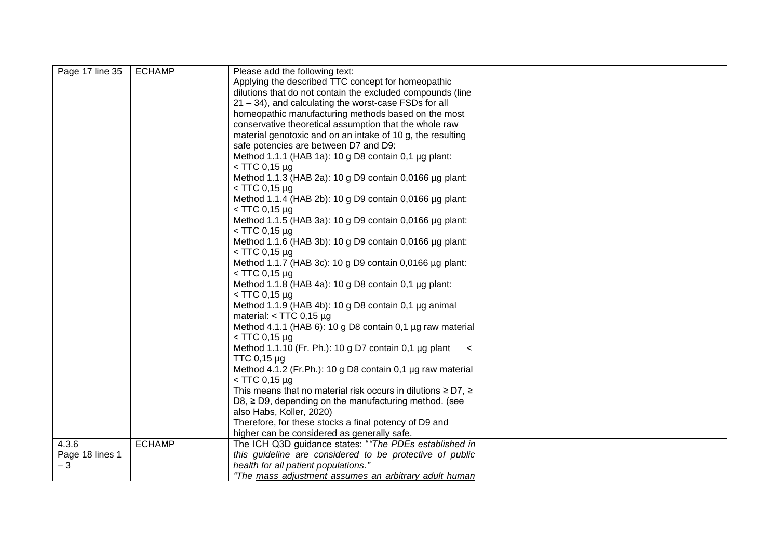| Page 17 line 35 | <b>ECHAMP</b> | Please add the following text:                                         |
|-----------------|---------------|------------------------------------------------------------------------|
|                 |               | Applying the described TTC concept for homeopathic                     |
|                 |               | dilutions that do not contain the excluded compounds (line             |
|                 |               | 21 - 34), and calculating the worst-case FSDs for all                  |
|                 |               | homeopathic manufacturing methods based on the most                    |
|                 |               | conservative theoretical assumption that the whole raw                 |
|                 |               | material genotoxic and on an intake of 10 g, the resulting             |
|                 |               | safe potencies are between D7 and D9:                                  |
|                 |               | Method 1.1.1 (HAB 1a): 10 g D8 contain 0,1 µg plant:                   |
|                 |               | $<$ TTC 0,15 µg                                                        |
|                 |               | Method 1.1.3 (HAB 2a): 10 g D9 contain 0,0166 µg plant:                |
|                 |               | $<$ TTC 0,15 µg                                                        |
|                 |               | Method 1.1.4 (HAB 2b): 10 g D9 contain 0,0166 µg plant:                |
|                 |               | $<$ TTC 0,15 µg                                                        |
|                 |               | Method 1.1.5 (HAB 3a): 10 g D9 contain 0,0166 µg plant:                |
|                 |               | $<$ TTC 0,15 µg                                                        |
|                 |               | Method 1.1.6 (HAB 3b): 10 g D9 contain 0,0166 µg plant:                |
|                 |               | $<$ TTC 0,15 µg                                                        |
|                 |               | Method 1.1.7 (HAB 3c): 10 g D9 contain 0,0166 µg plant:                |
|                 |               | $<$ TTC 0,15 µg                                                        |
|                 |               | Method 1.1.8 (HAB 4a): 10 g D8 contain 0,1 µg plant:                   |
|                 |               | $<$ TTC 0,15 µg                                                        |
|                 |               | Method 1.1.9 (HAB 4b): 10 g D8 contain 0,1 µg animal                   |
|                 |               | material: $<$ TTC 0,15 µg                                              |
|                 |               | Method 4.1.1 (HAB 6): 10 g D8 contain 0,1 µg raw material              |
|                 |               | $<$ TTC 0,15 µg                                                        |
|                 |               | Method 1.1.10 (Fr. Ph.): 10 g D7 contain $0.1 \mu$ g plant<br>$\prec$  |
|                 |               | TTC 0,15 µg                                                            |
|                 |               | Method 4.1.2 (Fr.Ph.): 10 g D8 contain 0,1 µg raw material             |
|                 |               | $<$ TTC 0,15 µg                                                        |
|                 |               | This means that no material risk occurs in dilutions $\geq$ D7, $\geq$ |
|                 |               | $D8$ , $\geq$ D9, depending on the manufacturing method. (see          |
|                 |               | also Habs, Koller, 2020)                                               |
|                 |               | Therefore, for these stocks a final potency of D9 and                  |
|                 |               | higher can be considered as generally safe.                            |
| 4.3.6           | <b>ECHAMP</b> | The ICH Q3D guidance states: "The PDEs established in                  |
| Page 18 lines 1 |               | this guideline are considered to be protective of public               |
| $-3$            |               | health for all patient populations."                                   |
|                 |               | "The mass adjustment assumes an arbitrary adult human                  |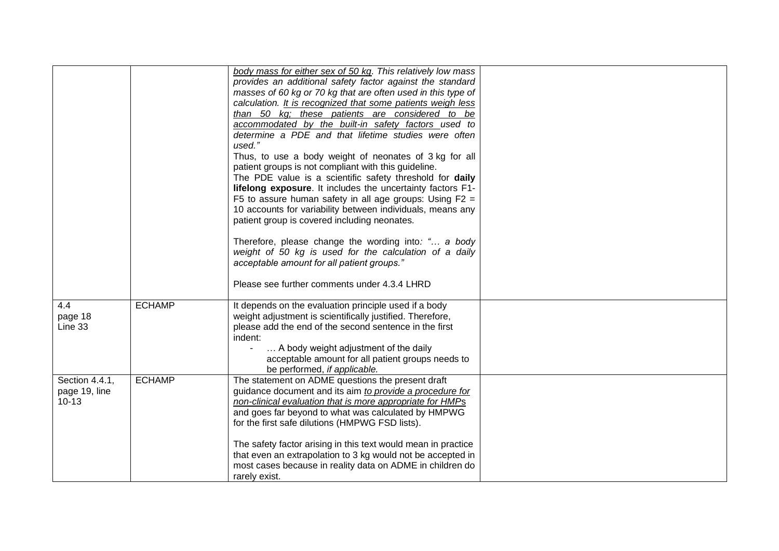|                                 | body mass for either sex of 50 kg. This relatively low mass    |  |
|---------------------------------|----------------------------------------------------------------|--|
|                                 | provides an additional safety factor against the standard      |  |
|                                 | masses of 60 kg or 70 kg that are often used in this type of   |  |
|                                 | calculation. It is recognized that some patients weigh less    |  |
|                                 | than 50 kg; these patients are considered to be                |  |
|                                 | accommodated by the built-in safety factors used to            |  |
|                                 | determine a PDE and that lifetime studies were often<br>used." |  |
|                                 | Thus, to use a body weight of neonates of 3 kg for all         |  |
|                                 | patient groups is not compliant with this guideline.           |  |
|                                 | The PDE value is a scientific safety threshold for daily       |  |
|                                 | lifelong exposure. It includes the uncertainty factors F1-     |  |
|                                 | F5 to assure human safety in all age groups: Using $F2 =$      |  |
|                                 | 10 accounts for variability between individuals, means any     |  |
|                                 | patient group is covered including neonates.                   |  |
|                                 | Therefore, please change the wording into: " a body            |  |
|                                 | weight of 50 kg is used for the calculation of a daily         |  |
|                                 | acceptable amount for all patient groups."                     |  |
|                                 |                                                                |  |
|                                 | Please see further comments under 4.3.4 LHRD                   |  |
| 4.4<br><b>ECHAMP</b>            | It depends on the evaluation principle used if a body          |  |
| page 18                         | weight adjustment is scientifically justified. Therefore,      |  |
| Line 33                         | please add the end of the second sentence in the first         |  |
|                                 | indent:                                                        |  |
|                                 | A body weight adjustment of the daily                          |  |
|                                 | acceptable amount for all patient groups needs to              |  |
|                                 | be performed, if applicable.                                   |  |
| <b>ECHAMP</b><br>Section 4.4.1, | The statement on ADME questions the present draft              |  |
| page 19, line                   | guidance document and its aim to provide a procedure for       |  |
| $10 - 13$                       | non-clinical evaluation that is more appropriate for HMPs      |  |
|                                 | and goes far beyond to what was calculated by HMPWG            |  |
|                                 | for the first safe dilutions (HMPWG FSD lists).                |  |
|                                 | The safety factor arising in this text would mean in practice  |  |
|                                 | that even an extrapolation to 3 kg would not be accepted in    |  |
|                                 | most cases because in reality data on ADME in children do      |  |
|                                 | rarely exist.                                                  |  |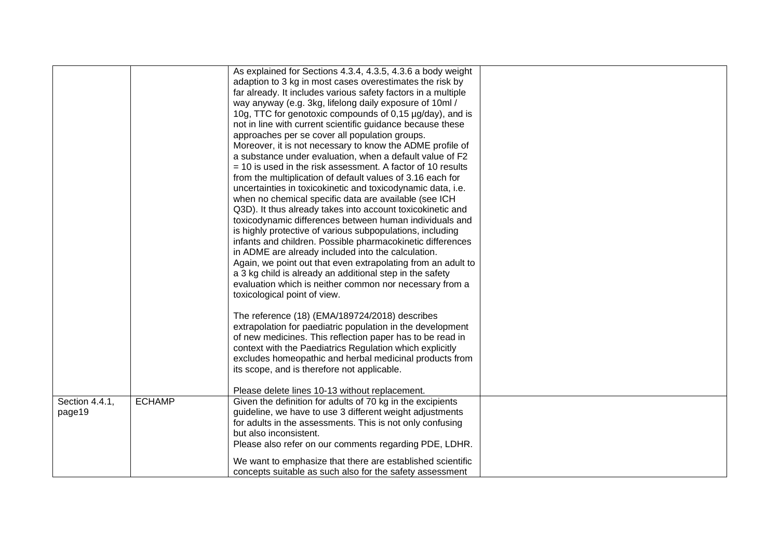|                          |               | As explained for Sections 4.3.4, 4.3.5, 4.3.6 a body weight<br>adaption to 3 kg in most cases overestimates the risk by<br>far already. It includes various safety factors in a multiple<br>way anyway (e.g. 3kg, lifelong daily exposure of 10ml /<br>10g, TTC for genotoxic compounds of 0,15 µg/day), and is<br>not in line with current scientific guidance because these<br>approaches per se cover all population groups.<br>Moreover, it is not necessary to know the ADME profile of<br>a substance under evaluation, when a default value of F2<br>$=$ 10 is used in the risk assessment. A factor of 10 results<br>from the multiplication of default values of 3.16 each for<br>uncertainties in toxicokinetic and toxicodynamic data, i.e.<br>when no chemical specific data are available (see ICH<br>Q3D). It thus already takes into account toxicokinetic and<br>toxicodynamic differences between human individuals and<br>is highly protective of various subpopulations, including<br>infants and children. Possible pharmacokinetic differences<br>in ADME are already included into the calculation.<br>Again, we point out that even extrapolating from an adult to<br>a 3 kg child is already an additional step in the safety<br>evaluation which is neither common nor necessary from a<br>toxicological point of view.<br>The reference (18) (EMA/189724/2018) describes<br>extrapolation for paediatric population in the development<br>of new medicines. This reflection paper has to be read in<br>context with the Paediatrics Regulation which explicitly<br>excludes homeopathic and herbal medicinal products from |  |
|--------------------------|---------------|------------------------------------------------------------------------------------------------------------------------------------------------------------------------------------------------------------------------------------------------------------------------------------------------------------------------------------------------------------------------------------------------------------------------------------------------------------------------------------------------------------------------------------------------------------------------------------------------------------------------------------------------------------------------------------------------------------------------------------------------------------------------------------------------------------------------------------------------------------------------------------------------------------------------------------------------------------------------------------------------------------------------------------------------------------------------------------------------------------------------------------------------------------------------------------------------------------------------------------------------------------------------------------------------------------------------------------------------------------------------------------------------------------------------------------------------------------------------------------------------------------------------------------------------------------------------------------------------------------------------------------------------------|--|
|                          |               | its scope, and is therefore not applicable.<br>Please delete lines 10-13 without replacement.                                                                                                                                                                                                                                                                                                                                                                                                                                                                                                                                                                                                                                                                                                                                                                                                                                                                                                                                                                                                                                                                                                                                                                                                                                                                                                                                                                                                                                                                                                                                                        |  |
| Section 4.4.1,<br>page19 | <b>ECHAMP</b> | Given the definition for adults of 70 kg in the excipients<br>guideline, we have to use 3 different weight adjustments<br>for adults in the assessments. This is not only confusing<br>but also inconsistent.<br>Please also refer on our comments regarding PDE, LDHR.<br>We want to emphasize that there are established scientific<br>concepts suitable as such also for the safety assessment                                                                                                                                                                                                                                                                                                                                                                                                                                                                                                                                                                                                                                                                                                                                                                                                                                                                                                                                                                                                                                                                                                                                                                                                                                                    |  |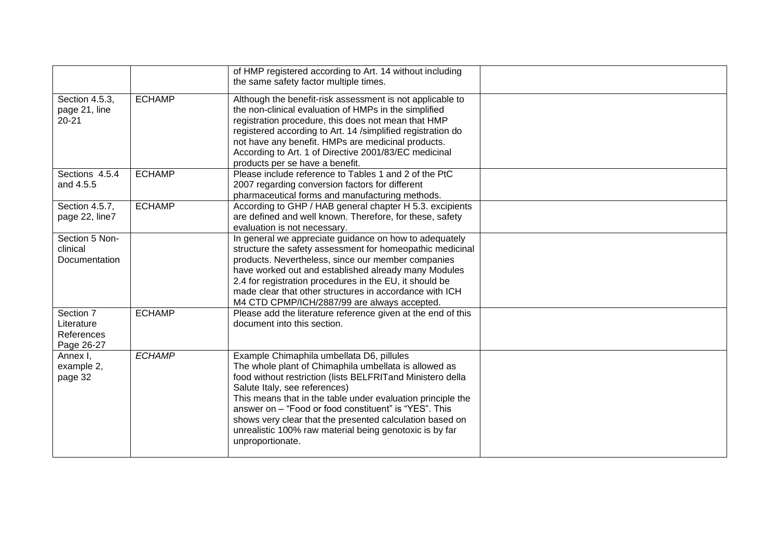|                                                     |               | of HMP registered according to Art. 14 without including<br>the same safety factor multiple times.                                                                                                                                                                                                                                                                                                                                                                   |  |
|-----------------------------------------------------|---------------|----------------------------------------------------------------------------------------------------------------------------------------------------------------------------------------------------------------------------------------------------------------------------------------------------------------------------------------------------------------------------------------------------------------------------------------------------------------------|--|
| Section 4.5.3,<br>page 21, line<br>$20 - 21$        | <b>ECHAMP</b> | Although the benefit-risk assessment is not applicable to<br>the non-clinical evaluation of HMPs in the simplified<br>registration procedure, this does not mean that HMP<br>registered according to Art. 14 /simplified registration do<br>not have any benefit. HMPs are medicinal products.<br>According to Art. 1 of Directive 2001/83/EC medicinal<br>products per se have a benefit.                                                                           |  |
| Sections 4.5.4<br>and 4.5.5                         | <b>ECHAMP</b> | Please include reference to Tables 1 and 2 of the PtC<br>2007 regarding conversion factors for different<br>pharmaceutical forms and manufacturing methods.                                                                                                                                                                                                                                                                                                          |  |
| Section 4.5.7,<br>page 22, line7                    | <b>ECHAMP</b> | According to GHP / HAB general chapter H 5.3. excipients<br>are defined and well known. Therefore, for these, safety<br>evaluation is not necessary.                                                                                                                                                                                                                                                                                                                 |  |
| Section 5 Non-<br>clinical<br>Documentation         |               | In general we appreciate guidance on how to adequately<br>structure the safety assessment for homeopathic medicinal<br>products. Nevertheless, since our member companies<br>have worked out and established already many Modules<br>2.4 for registration procedures in the EU, it should be<br>made clear that other structures in accordance with ICH<br>M4 CTD CPMP/ICH/2887/99 are always accepted.                                                              |  |
| Section 7<br>Literature<br>References<br>Page 26-27 | <b>ECHAMP</b> | Please add the literature reference given at the end of this<br>document into this section.                                                                                                                                                                                                                                                                                                                                                                          |  |
| Annex I,<br>example 2,<br>page 32                   | <b>ECHAMP</b> | Example Chimaphila umbellata D6, pillules<br>The whole plant of Chimaphila umbellata is allowed as<br>food without restriction (lists BELFRITand Ministero della<br>Salute Italy, see references)<br>This means that in the table under evaluation principle the<br>answer on - "Food or food constituent" is "YES". This<br>shows very clear that the presented calculation based on<br>unrealistic 100% raw material being genotoxic is by far<br>unproportionate. |  |